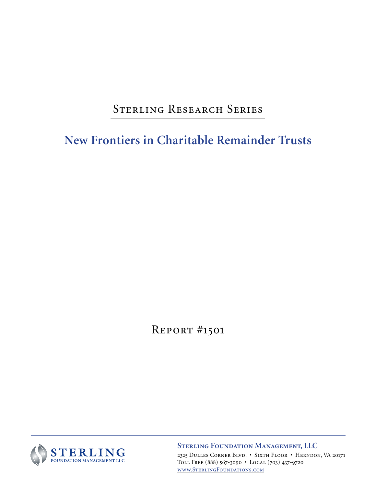# STERLING RESEARCH SERIES

**New Frontiers in Charitable Remainder Trusts**

Report #1501



**STERLING FOUNDATION MANAGEMENT, LLC** 2325 Dulles Corner Blvd. • Sixth Floor • Herndon, VA 20171 Toll Free (888) 567-3090 • Local (703) 437-9720 www.SterlingFoundations.com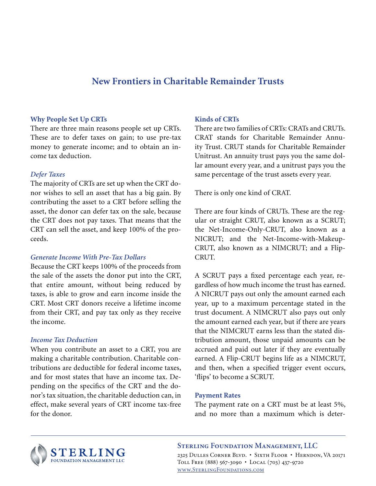# **New Frontiers in Charitable Remainder Trusts**

### **Why People Set Up CRTs**

There are three main reasons people set up CRTs. These are to defer taxes on gain; to use pre-tax money to generate income; and to obtain an income tax deduction.

#### *Defer Taxes*

The majority of CRTs are set up when the CRT donor wishes to sell an asset that has a big gain. By contributing the asset to a CRT before selling the asset, the donor can defer tax on the sale, because the CRT does not pay taxes. That means that the CRT can sell the asset, and keep 100% of the proceeds.

#### *Generate Income With Pre-Tax Dollars*

Because the CRT keeps 100% of the proceeds from the sale of the assets the donor put into the CRT, that entire amount, without being reduced by taxes, is able to grow and earn income inside the CRT. Most CRT donors receive a lifetime income from their CRT, and pay tax only as they receive the income.

### *Income Tax Deduction*

When you contribute an asset to a CRT, you are making a charitable contribution. Charitable contributions are deductible for federal income taxes, and for most states that have an income tax. Depending on the specifics of the CRT and the donor's tax situation, the charitable deduction can, in effect, make several years of CRT income tax-free for the donor.

### **Kinds of CRTs**

There are two families of CRTs: CRATs and CRUTs. CRAT stands for Charitable Remainder Annuity Trust. CRUT stands for Charitable Remainder Unitrust. An annuity trust pays you the same dollar amount every year, and a unitrust pays you the same percentage of the trust assets every year.

There is only one kind of CRAT.

There are four kinds of CRUTs. These are the regular or straight CRUT, also known as a SCRUT; the Net-Income-Only-CRUT, also known as a NICRUT; and the Net-Income-with-Makeup-CRUT, also known as a NIMCRUT; and a Flip-CRUT.

A SCRUT pays a fixed percentage each year, regardless of how much income the trust has earned. A NICRUT pays out only the amount earned each year, up to a maximum percentage stated in the trust document. A NIMCRUT also pays out only the amount earned each year, but if there are years that the NIMCRUT earns less than the stated distribution amount, those unpaid amounts can be accrued and paid out later if they are eventually earned. A Flip-CRUT begins life as a NIMCRUT, and then, when a specified trigger event occurs, 'flips' to become a SCRUT.

#### **Payment Rates**

The payment rate on a CRT must be at least 5%, and no more than a maximum which is deter-



#### **STERLING FOUNDATION MANAGEMENT, LLC**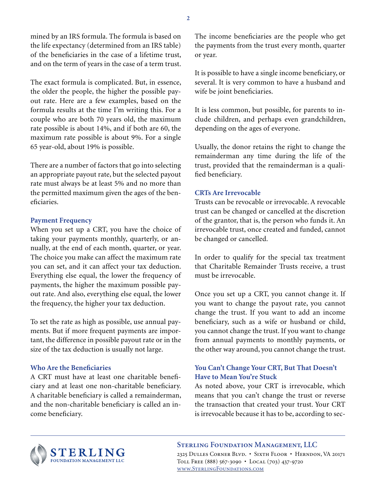mined by an IRS formula. The formula is based on the life expectancy (determined from an IRS table) of the beneficiaries in the case of a lifetime trust, and on the term of years in the case of a term trust.

The exact formula is complicated. But, in essence, the older the people, the higher the possible payout rate. Here are a few examples, based on the formula results at the time I'm writing this. For a couple who are both 70 years old, the maximum rate possible is about 14%, and if both are 60, the maximum rate possible is about 9%. For a single 65 year-old, about 19% is possible.

There are a number of factors that go into selecting an appropriate payout rate, but the selected payout rate must always be at least 5% and no more than the permitted maximum given the ages of the beneficiaries.

### **Payment Frequency**

When you set up a CRT, you have the choice of taking your payments monthly, quarterly, or annually, at the end of each month, quarter, or year. The choice you make can affect the maximum rate you can set, and it can affect your tax deduction. Everything else equal, the lower the frequency of payments, the higher the maximum possible payout rate. And also, everything else equal, the lower the frequency, the higher your tax deduction.

To set the rate as high as possible, use annual payments. But if more frequent payments are important, the difference in possible payout rate or in the size of the tax deduction is usually not large.

### **Who Are the Beneficiaries**

A CRT must have at least one charitable beneficiary and at least one non-charitable beneficiary. A charitable beneficiary is called a remainderman, and the non-charitable beneficiary is called an income beneficiary.

The income beneficiaries are the people who get the payments from the trust every month, quarter or year.

It is possible to have a single income beneficiary, or several. It is very common to have a husband and wife be joint beneficiaries.

It is less common, but possible, for parents to include children, and perhaps even grandchildren, depending on the ages of everyone.

Usually, the donor retains the right to change the remainderman any time during the life of the trust, provided that the remainderman is a qualified beneficiary.

### **CRTs Are Irrevocable**

Trusts can be revocable or irrevocable. A revocable trust can be changed or cancelled at the discretion of the grantor, that is, the person who funds it. An irrevocable trust, once created and funded, cannot be changed or cancelled.

In order to qualify for the special tax treatment that Charitable Remainder Trusts receive, a trust must be irrevocable.

Once you set up a CRT, you cannot change it. If you want to change the payout rate, you cannot change the trust. If you want to add an income beneficiary, such as a wife or husband or child, you cannot change the trust. If you want to change from annual payments to monthly payments, or the other way around, you cannot change the trust.

# **You Can't Change Your CRT, But That Doesn't Have to Mean You're Stuck**

As noted above, your CRT is irrevocable, which means that you can't change the trust or reverse the transaction that created your trust. Your CRT is irrevocable because it has to be, according to sec-



### **STERLING FOUNDATION MANAGEMENT, LLC**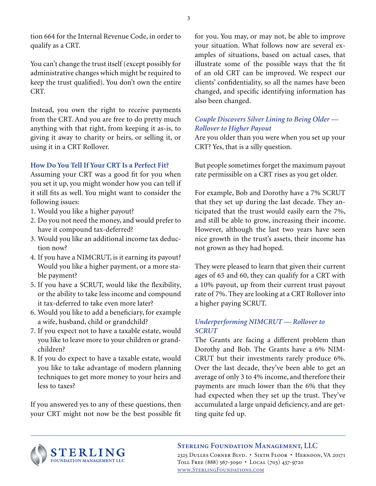tion 664 for the Internal Revenue Code, in order to qualify as a CRT.

You can't change the trust itself (except possibly for administrative changes which might be required to keep the trust qualified). You don't own the entire CRT.

Instead, you own the right to receive payments from the CRT. And you are free to do pretty much anything with that right, from keeping it as-is, to giving it away to charity or heirs, or selling it, or using it in a CRT Rollover.

### **How Do You Tell If Your CRT Is a Perfect Fit?**

Assuming your CRT was a good fit for you when you set it up, you might wonder how you can tell if it still fits as well. You might want to consider the following issues:

- 1. Would you like a higher payout?
- 2. Do you not need the money, and would prefer to have it compound tax-deferred?
- 3. Would you like an additional income tax deduction now?
- 4. If you have a NIMCRUT, is it earning its payout? Would you like a higher payment, or a more stable payment?
- 5. If you have a SCRUT, would like the flexibility, or the ability to take less income and compound it tax-deferred to take even more later?
- 6. Would you like to add a beneficiary, for example a wife, husband, child or grandchild?
- 7. If you expect not to have a taxable estate, would you like to leave more to your children or grandchildren?
- 8. If you do expect to have a taxable estate, would you like to take advantage of modern planning techniques to get more money to your heirs and less to taxes?

If you answered yes to any of these questions, then your CRT might not now be the best possible fit

for you. You may, or may not, be able to improve your situation. What follows now are several examples of situations, based on actual cases, that illustrate some of the possible ways that the fit of an old CRT can be improved. We respect our clients' confidentiality, so all the names have been changed, and specific identifying information has also been changed.

# *Couple Discovers Silver Lining to Being Older — Rollover to Higher Payout*

Are you older than you were when you set up your CRT? Yes, that is a silly question.

But people sometimes forget the maximum payout rate permissible on a CRT rises as you get older.

For example, Bob and Dorothy have a 7% SCRUT that they set up during the last decade. They anticipated that the trust would easily earn the 7%, and still be able to grow, increasing their income. However, although the last two years have seen nice growth in the trust's assets, their income has not grown as they had hoped.

They were pleased to learn that given their current ages of 65 and 60, they can qualify for a CRT with a 10% payout, up from their current trust payout rate of 7%. They are looking at a CRT Rollover into a higher paying SCRUT.

# *Underperforming NIMCRUT — Rollover to SCRUT*

The Grants are facing a different problem than Dorothy and Bob. The Grants have a 6% NIM-CRUT but their investments rarely produce 6%. Over the last decade, they've been able to get an average of only 3 to 4% income, and therefore their payments are much lower than the 6% that they had expected when they set up the trust. They've accumulated a large unpaid deficiency, and are getting quite fed up.



### **STERLING FOUNDATION MANAGEMENT, LLC**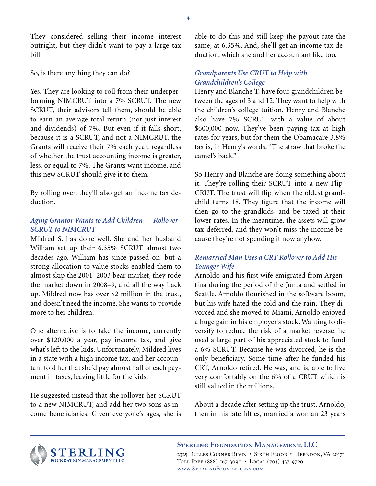They considered selling their income interest outright, but they didn't want to pay a large tax bill.

So, is there anything they can do?

Yes. They are looking to roll from their underperforming NIMCRUT into a 7% SCRUT. The new SCRUT, their advisors tell them, should be able to earn an average total return (not just interest and dividends) of 7%. But even if it falls short, because it is a SCRUT, and not a NIMCRUT, the Grants will receive their 7% each year, regardless of whether the trust accounting income is greater, less, or equal to 7%. The Grants want income, and this new SCRUT should give it to them.

By rolling over, they'll also get an income tax deduction.

# *Aging Grantor Wants to Add Children — Rollover SCRUT to NIMCRUT*

Mildred S. has done well. She and her husband William set up their 6.35% SCRUT almost two decades ago. William has since passed on, but a strong allocation to value stocks enabled them to almost skip the 2001–2003 bear market, they rode the market down in 2008–9, and all the way back up. Mildred now has over \$2 million in the trust, and doesn't need the income. She wants to provide more to her children.

One alternative is to take the income, currently over \$120,000 a year, pay income tax, and give what's left to the kids. Unfortunately, Mildred lives in a state with a high income tax, and her accountant told her that she'd pay almost half of each payment in taxes, leaving little for the kids.

He suggested instead that she rollover her SCRUT to a new NIMCRUT, and add her two sons as income beneficiaries. Given everyone's ages, she is able to do this and still keep the payout rate the same, at 6.35%. And, she'll get an income tax deduction, which she and her accountant like too.

# *Grandparents Use CRUT to Help with Grandchildren's College*

Henry and Blanche T. have four grandchildren between the ages of 3 and 12. They want to help with the children's college tuition. Henry and Blanche also have 7% SCRUT with a value of about \$600,000 now. They've been paying tax at high rates for years, but for them the Obamacare 3.8% tax is, in Henry's words, "The straw that broke the camel's back."

So Henry and Blanche are doing something about it. They're rolling their SCRUT into a new Flip-CRUT. The trust will flip when the oldest grandchild turns 18. They figure that the income will then go to the grandkids, and be taxed at their lower rates. In the meantime, the assets will grow tax-deferred, and they won't miss the income because they're not spending it now anyhow.

# *Remarried Man Uses a CRT Rollover to Add His Younger Wife*

Arnoldo and his first wife emigrated from Argentina during the period of the Junta and settled in Seattle. Arnoldo flourished in the software boom, but his wife hated the cold and the rain. They divorced and she moved to Miami. Arnoldo enjoyed a huge gain in his employer's stock. Wanting to diversify to reduce the risk of a market reverse, he used a large part of his appreciated stock to fund a 6% SCRUT. Because he was divorced, he is the only beneficiary. Some time after he funded his CRT, Arnoldo retired. He was, and is, able to live very comfortably on the 6% of a CRUT which is still valued in the millions.

About a decade after setting up the trust, Arnoldo, then in his late fifties, married a woman 23 years



**STERLING FOUNDATION MANAGEMENT, LLC** 2325 Dulles Corner Blvd. • Sixth Floor • Herndon, VA 20171 Toll Free (888) 567-3090 • Local (703) 437-9720 www.SterlingFoundations.com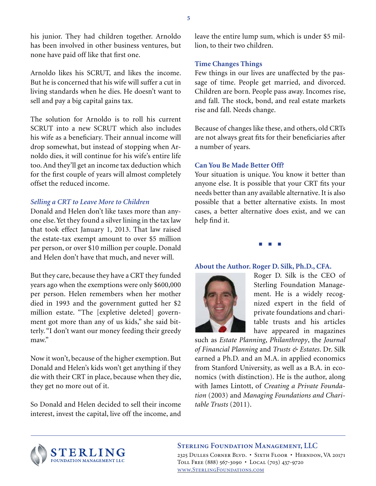his junior. They had children together. Arnoldo has been involved in other business ventures, but none have paid off like that first one.

Arnoldo likes his SCRUT, and likes the income. But he is concerned that his wife will suffer a cut in living standards when he dies. He doesn't want to sell and pay a big capital gains tax.

The solution for Arnoldo is to roll his current SCRUT into a new SCRUT which also includes his wife as a beneficiary. Their annual income will drop somewhat, but instead of stopping when Arnoldo dies, it will continue for his wife's entire life too. And they'll get an income tax deduction which for the first couple of years will almost completely offset the reduced income.

### *Selling a CRT to Leave More to Children*

Donald and Helen don't like taxes more than anyone else. Yet they found a silver lining in the tax law that took effect January 1, 2013. That law raised the estate-tax exempt amount to over \$5 million per person, or over \$10 million per couple. Donald and Helen don't have that much, and never will.

But they care, because they have a CRT they funded years ago when the exemptions were only \$600,000 per person. Helen remembers when her mother died in 1993 and the government gutted her \$2 million estate. "The [expletive deleted] government got more than any of us kids," she said bitterly. "I don't want our money feeding their greedy maw."

Now it won't, because of the higher exemption. But Donald and Helen's kids won't get anything if they die with their CRT in place, because when they die, they get no more out of it.

So Donald and Helen decided to sell their income interest, invest the capital, live off the income, and leave the entire lump sum, which is under \$5 million, to their two children.

### **Time Changes Things**

Few things in our lives are unaffected by the passage of time. People get married, and divorced. Children are born. People pass away. Incomes rise, and fall. The stock, bond, and real estate markets rise and fall. Needs change.

Because of changes like these, and others, old CRTs are not always great fits for their beneficiaries after a number of years.

### **Can You Be Made Better Off?**

Your situation is unique. You know it better than anyone else. It is possible that your CRT fits your needs better than any available alternative. It is also possible that a better alternative exists. In most cases, a better alternative does exist, and we can help find it.

■ ■ ■

### **About the Author. Roger D. Silk, Ph.D., CFA.**



Roger D. Silk is the CEO of Sterling Foundation Management. He is a widely recognized expert in the field of private foundations and charitable trusts and his articles have appeared in magazines

such as *Estate Planning*, *Philanthropy*, the *Journal of Financial Planning* and *Trusts & Estates*. Dr. Silk earned a Ph.D. and an M.A. in applied economics from Stanford University, as well as a B.A. in economics (with distinction). He is the author, along with James Lintott, of *Creating a Private Foundation* (2003) and *Managing Foundations and Charitable Trusts* (2011).



#### **STERLING FOUNDATION MANAGEMENT, LLC**